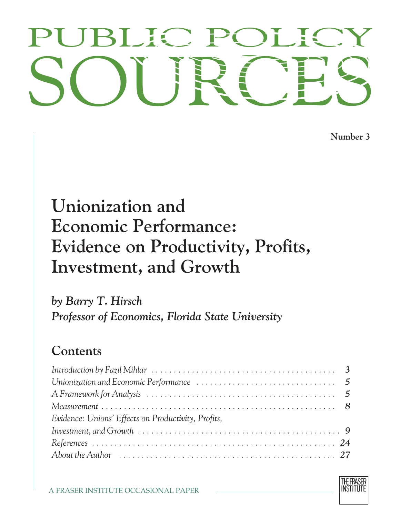# PUBLIC POLICY<br>SOURCES PUBLIC POLICY

**Number 3**

## **Unionization and Economic Performance: Evidence on Productivity, Profits, Investment, and Growth**

*by Barry T. Hirsch Professor of Economics, Florida State University*

### **Contents**

| Introduction by Fazil Mihlar $\ldots \ldots \ldots \ldots \ldots \ldots \ldots \ldots \ldots \ldots \ldots \ldots$ |  |
|--------------------------------------------------------------------------------------------------------------------|--|
|                                                                                                                    |  |
|                                                                                                                    |  |
|                                                                                                                    |  |
| Evidence: Unions' Effects on Productivity, Profits,                                                                |  |
| Investment, and Growth $\ldots \ldots \ldots \ldots \ldots \ldots \ldots \ldots \ldots \ldots \ldots \ldots$       |  |
|                                                                                                                    |  |
|                                                                                                                    |  |

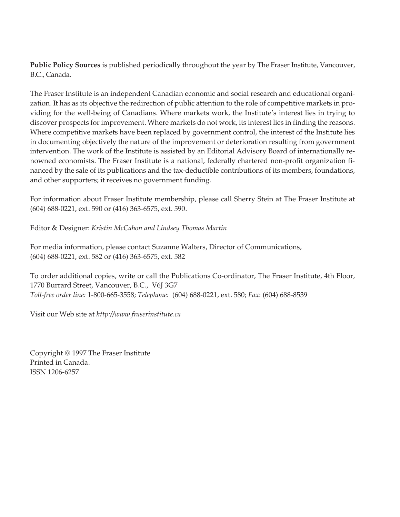**Public Policy Sources** is published periodically throughout the year by The Fraser Institute, Vancouver, B.C., Canada.

The Fraser Institute is an independent Canadian economic and social research and educational organization. It has as its objective the redirection of public attention to the role of competitive markets in providing for the well-being of Canadians. Where markets work, the Institute's interest lies in trying to discover prospects for improvement. Where markets do not work, its interest lies in finding the reasons. Where competitive markets have been replaced by government control, the interest of the Institute lies in documenting objectively the nature of the improvement or deterioration resulting from government intervention. The work of the Institute is assisted by an Editorial Advisory Board of internationally renowned economists. The Fraser Institute is a national, federally chartered non-profit organization financed by the sale of its publications and the tax-deductible contributions of its members, foundations, and other supporters; it receives no government funding.

For information about Fraser Institute membership, please call Sherry Stein at The Fraser Institute at (604) 688-0221, ext. 590 or (416) 363-6575, ext. 590.

Editor & Designer: *Kristin McCahon and Lindsey Thomas Martin*

For media information, please contact Suzanne Walters, Director of Communications, (604) 688-0221, ext. 582 or (416) 363-6575, ext. 582

To order additional copies, write or call the Publications Co-ordinator, The Fraser Institute, 4th Floor, 1770 Burrard Street, Vancouver, B.C., V6J 3G7 *Toll-free order line:* 1-800-665-3558; *Telephone:* (604) 688-0221, ext. 580; *Fax*: (604) 688-8539

Visit our Web site at *http://www.fraserinstitute.ca*

Copyright © 1997 The Fraser Institute Printed in Canada. ISSN 1206-6257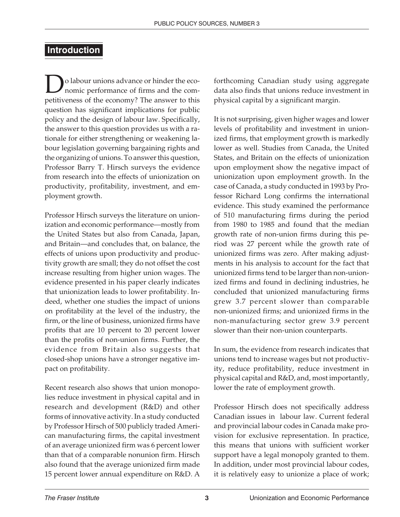#### **Introduction**

o labour unions advance or hinder the economic performance of firms and the competitiveness of the economy? The answer to this question has significant implications for public policy and the design of labour law. Specifically, the answer to this question provides us with a rationale for either strengthening or weakening labour legislation governing bargaining rights and the organizing of unions. To answer this question, Professor Barry T. Hirsch surveys the evidence from research into the effects of unionization on productivity, profitability, investment, and employment growth.

Professor Hirsch surveys the literature on unionization and economic performance—mostly from the United States but also from Canada, Japan, and Britain—and concludes that, on balance, the effects of unions upon productivity and productivity growth are small; they do not offset the cost increase resulting from higher union wages. The evidence presented in his paper clearly indicates that unionization leads to lower profitability. Indeed, whether one studies the impact of unions on profitability at the level of the industry, the firm, or the line of business, unionized firms have profits that are 10 percent to 20 percent lower than the profits of non-union firms. Further, the evidence from Britain also suggests that closed-shop unions have a stronger negative impact on profitability.

Recent research also shows that union monopolies reduce investment in physical capital and in research and development (R&D) and other forms of innovative activity. In a study conducted by Professor Hirsch of 500 publicly traded American manufacturing firms, the capital investment of an average unionized firm was 6 percent lower than that of a comparable nonunion firm. Hirsch also found that the average unionized firm made 15 percent lower annual expenditure on R&D. A

forthcoming Canadian study using aggregate data also finds that unions reduce investment in physical capital by a significant margin.

It is not surprising, given higher wages and lower levels of profitability and investment in unionized firms, that employment growth is markedly lower as well. Studies from Canada, the United States, and Britain on the effects of unionization upon employment show the negative impact of unionization upon employment growth. In the case of Canada, a study conducted in 1993 by Professor Richard Long confirms the international evidence. This study examined the performance of 510 manufacturing firms during the period from 1980 to 1985 and found that the median growth rate of non-union firms during this period was 27 percent while the growth rate of unionized firms was zero. After making adjustments in his analysis to account for the fact that unionized firms tend to be larger than non-unionized firms and found in declining industries, he concluded that unionized manufacturing firms grew 3.7 percent slower than comparable non-unionized firms; and unionized firms in the non-manufacturing sector grew 3.9 percent slower than their non-union counterparts.

In sum, the evidence from research indicates that unions tend to increase wages but not productivity, reduce profitability, reduce investment in physical capital and R&D, and, most importantly, lower the rate of employment growth.

Professor Hirsch does not specifically address Canadian issues in labour law. Current federal and provincial labour codes in Canada make provision for exclusive representation. In practice, this means that unions with sufficient worker support have a legal monopoly granted to them. In addition, under most provincial labour codes, it is relatively easy to unionize a place of work;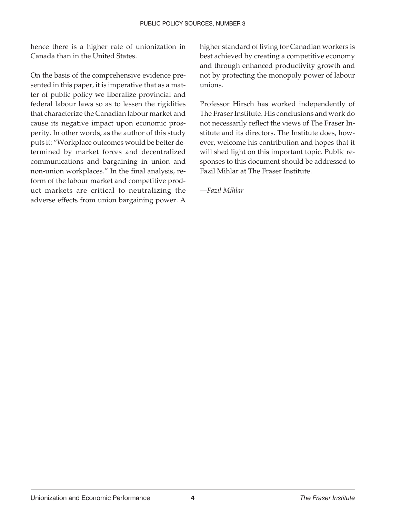hence there is a higher rate of unionization in Canada than in the United States.

On the basis of the comprehensive evidence presented in this paper, it is imperative that as a matter of public policy we liberalize provincial and federal labour laws so as to lessen the rigidities that characterize the Canadian labour market and cause its negative impact upon economic prosperity. In other words, as the author of this study puts it: "Workplace outcomes would be better determined by market forces and decentralized communications and bargaining in union and non-union workplaces." In the final analysis, reform of the labour market and competitive product markets are critical to neutralizing the adverse effects from union bargaining power. A higher standard of living for Canadian workers is best achieved by creating a competitive economy and through enhanced productivity growth and not by protecting the monopoly power of labour unions.

Professor Hirsch has worked independently of The Fraser Institute. His conclusions and work do not necessarily reflect the views of The Fraser Institute and its directors. The Institute does, however, welcome his contribution and hopes that it will shed light on this important topic. Public responses to this document should be addressed to Fazil Mihlar at The Fraser Institute.

*—Fazil Mihlar*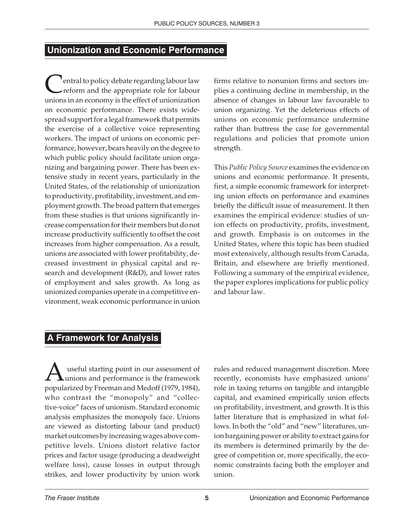#### **Unionization and Economic Performance**

<sup>t</sup> entral to policy debate regarding labour law reform and the appropriate role for labour unions in an economy is the effect of unionization on economic performance. There exists widespread support for a legal framework that permits the exercise of a collective voice representing workers. The impact of unions on economic performance, however, bears heavily on the degree to which public policy should facilitate union organizing and bargaining power. There has been extensive study in recent years, particularly in the United States, of the relationship of unionization to productivity, profitability, investment, and employment growth. The broad pattern that emerges from these studies is that unions significantly increase compensation for their members but do not increase productivity sufficiently to offset the cost increases from higher compensation. As a result, unions are associated with lower profitability, decreased investment in physical capital and research and development (R&D), and lower rates of employment and sales growth. As long as unionized companies operate in a competitive environment, weak economic performance in union

firms relative to nonunion firms and sectors implies a continuing decline in membership, in the absence of changes in labour law favourable to union organizing. Yet the deleterious effects of unions on economic performance undermine rather than buttress the case for governmental regulations and policies that promote union strength.

This *Public Policy Source* examines the evidence on unions and economic performance. It presents, first, a simple economic framework for interpreting union effects on performance and examines briefly the difficult issue of measurement. It then examines the empirical evidence: studies of union effects on productivity, profits, investment, and growth. Emphasis is on outcomes in the United States, where this topic has been studied most extensively, although results from Canada, Britain, and elsewhere are briefly mentioned. Following a summary of the empirical evidence, the paper explores implications for public policy and labour law.

#### **A Framework for Analysis**

A useful starting point in our assessment of unions and performance is the framework popularized by Freeman and Medoff (1979, 1984), who contrast the "monopoly" and "collective-voice" faces of unionism. Standard economic analysis emphasizes the monopoly face. Unions are viewed as distorting labour (and product) market outcomes by increasing wages above competitive levels. Unions distort relative factor prices and factor usage (producing a deadweight welfare loss), cause losses in output through strikes, and lower productivity by union work

rules and reduced management discretion. More recently, economists have emphasized unions' role in taxing returns on tangible and intangible capital, and examined empirically union effects on profitability, investment, and growth. It is this latter literature that is emphasized in what follows. In both the "old" and "new" literatures, union bargaining power or ability to extract gains for its members is determined primarily by the degree of competition or, more specifically, the economic constraints facing both the employer and union.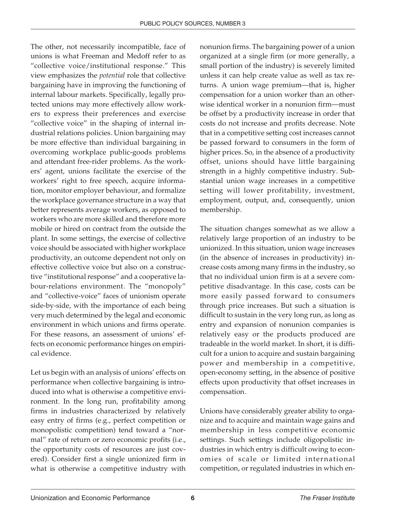The other, not necessarily incompatible, face of unions is what Freeman and Medoff refer to as "collective voice/institutional response." This view emphasizes the *potential* role that collective bargaining have in improving the functioning of internal labour markets. Specifically, legally protected unions may more effectively allow workers to express their preferences and exercise "collective voice" in the shaping of internal industrial relations policies. Union bargaining may be more effective than individual bargaining in overcoming workplace public-goods problems and attendant free-rider problems. As the workers' agent, unions facilitate the exercise of the workers' right to free speech, acquire information, monitor employer behaviour, and formalize the workplace governance structure in a way that better represents average workers, as opposed to workers who are more skilled and therefore more mobile or hired on contract from the outside the plant. In some settings, the exercise of collective voice should be associated with higher workplace productivity, an outcome dependent not only on effective collective voice but also on a constructive "institutional response" and a cooperative labour-relations environment. The "monopoly" and "collective-voice" faces of unionism operate side-by-side, with the importance of each being very much determined by the legal and economic environment in which unions and firms operate. For these reasons, an assessment of unions' effects on economic performance hinges on empirical evidence.

Let us begin with an analysis of unions' effects on performance when collective bargaining is introduced into what is otherwise a competitive environment. In the long run, profitability among firms in industries characterized by relatively easy entry of firms (e.g., perfect competition or monopolistic competition) tend toward a "normal" rate of return or zero economic profits (i.e., the opportunity costs of resources are just covered). Consider first a single unionized firm in what is otherwise a competitive industry with

nonunion firms. The bargaining power of a union organized at a single firm (or more generally, a small portion of the industry) is severely limited unless it can help create value as well as tax returns. A union wage premium—that is, higher compensation for a union worker than an otherwise identical worker in a nonunion firm—must be offset by a productivity increase in order that costs do not increase and profits decrease. Note that in a competitive setting cost increases cannot be passed forward to consumers in the form of higher prices. So, in the absence of a productivity offset, unions should have little bargaining strength in a highly competitive industry. Substantial union wage increases in a competitive setting will lower profitability, investment, employment, output, and, consequently, union membership.

The situation changes somewhat as we allow a relatively large proportion of an industry to be unionized. In this situation, union wage increases (in the absence of increases in productivity) increase costs among many firms in the industry, so that no individual union firm is at a severe competitive disadvantage. In this case, costs can be more easily passed forward to consumers through price increases. But such a situation is difficult to sustain in the very long run, as long as entry and expansion of nonunion companies is relatively easy or the products produced are tradeable in the world market. In short, it is difficult for a union to acquire and sustain bargaining power and membership in a competitive, open-economy setting, in the absence of positive effects upon productivity that offset increases in compensation.

Unions have considerably greater ability to organize and to acquire and maintain wage gains and membership in less competitive economic settings. Such settings include oligopolistic industries in which entry is difficult owing to economies of scale or limited international competition, or regulated industries in which en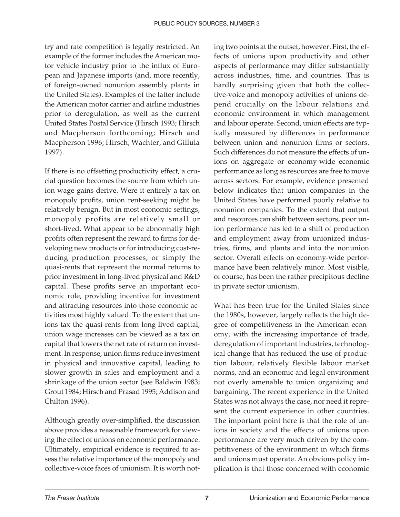try and rate competition is legally restricted. An example of the former includes the American motor vehicle industry prior to the influx of European and Japanese imports (and, more recently, of foreign-owned nonunion assembly plants in the United States). Examples of the latter include the American motor carrier and airline industries prior to deregulation, as well as the current United States Postal Service (Hirsch 1993; Hirsch and Macpherson forthcoming; Hirsch and Macpherson 1996; Hirsch, Wachter, and Gillula 1997).

If there is no offsetting productivity effect, a crucial question becomes the source from which union wage gains derive. Were it entirely a tax on monopoly profits, union rent-seeking might be relatively benign. But in most economic settings, monopoly profits are relatively small or short-lived. What appear to be abnormally high profits often represent the reward to firms for developing new products or for introducing cost-reducing production processes, or simply the quasi-rents that represent the normal returns to prior investment in long-lived physical and R&D capital. These profits serve an important economic role, providing incentive for investment and attracting resources into those economic activities most highly valued. To the extent that unions tax the quasi-rents from long-lived capital, union wage increases can be viewed as a tax on capital that lowers the net rate of return on investment. In response, union firms reduce investment in physical and innovative capital, leading to slower growth in sales and employment and a shrinkage of the union sector (see Baldwin 1983; Grout 1984; Hirsch and Prasad 1995; Addison and Chilton 1996).

Although greatly over-simplified, the discussion above provides a reasonable framework for viewing the effect of unions on economic performance. Ultimately, empirical evidence is required to assess the relative importance of the monopoly and collective-voice faces of unionism. It is worth noting two points at the outset, however. First, the effects of unions upon productivity and other aspects of performance may differ substantially across industries, time, and countries. This is hardly surprising given that both the collective-voice and monopoly activities of unions depend crucially on the labour relations and economic environment in which management and labour operate. Second, union effects are typically measured by differences in performance between union and nonunion firms or sectors. Such differences do not measure the effects of unions on aggregate or economy-wide economic performance as long as resources are free to move across sectors. For example, evidence presented below indicates that union companies in the United States have performed poorly relative to nonunion companies. To the extent that output and resources can shift between sectors, poor union performance has led to a shift of production and employment away from unionized industries, firms, and plants and into the nonunion sector. Overall effects on economy-wide performance have been relatively minor. Most visible, of course, has been the rather precipitous decline in private sector unionism.

What has been true for the United States since the 1980s, however, largely reflects the high degree of competitiveness in the American economy, with the increasing importance of trade, deregulation of important industries, technological change that has reduced the use of production labour, relatively flexible labour market norms, and an economic and legal environment not overly amenable to union organizing and bargaining. The recent experience in the United States was not always the case, nor need it represent the current experience in other countries. The important point here is that the role of unions in society and the effects of unions upon performance are very much driven by the competitiveness of the environment in which firms and unions must operate. An obvious policy implication is that those concerned with economic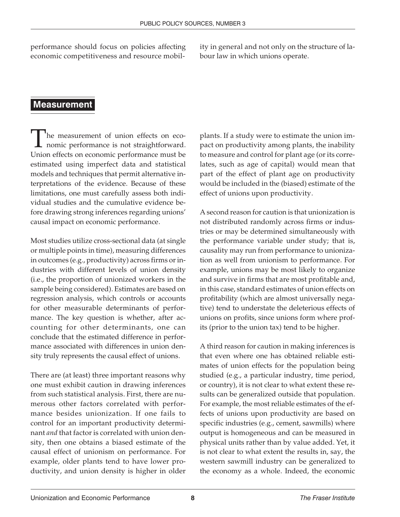performance should focus on policies affecting economic competitiveness and resource mobil-

ity in general and not only on the structure of labour law in which unions operate.

#### **Measurement**

The measurement of union effects on eco-**L** nomic performance is not straightforward. Union effects on economic performance must be estimated using imperfect data and statistical models and techniques that permit alternative interpretations of the evidence. Because of these limitations, one must carefully assess both individual studies and the cumulative evidence before drawing strong inferences regarding unions' causal impact on economic performance.

Most studies utilize cross-sectional data (at single or multiple points in time), measuring differences in outcomes (e.g., productivity) across firms or industries with different levels of union density (i.e., the proportion of unionized workers in the sample being considered). Estimates are based on regression analysis, which controls or accounts for other measurable determinants of performance. The key question is whether, after accounting for other determinants, one can conclude that the estimated difference in performance associated with differences in union density truly represents the causal effect of unions.

There are (at least) three important reasons why one must exhibit caution in drawing inferences from such statistical analysis. First, there are numerous other factors correlated with performance besides unionization. If one fails to control for an important productivity determinant *and* that factor is correlated with union density, then one obtains a biased estimate of the causal effect of unionism on performance. For example, older plants tend to have lower productivity, and union density is higher in older

plants. If a study were to estimate the union impact on productivity among plants, the inability to measure and control for plant age (or its correlates, such as age of capital) would mean that part of the effect of plant age on productivity would be included in the (biased) estimate of the effect of unions upon productivity.

A second reason for caution is that unionization is not distributed randomly across firms or industries or may be determined simultaneously with the performance variable under study; that is, causality may run from performance to unionization as well from unionism to performance. For example, unions may be most likely to organize and survive in firms that are most profitable and, in this case, standard estimates of union effects on profitability (which are almost universally negative) tend to understate the deleterious effects of unions on profits, since unions form where profits (prior to the union tax) tend to be higher.

A third reason for caution in making inferences is that even where one has obtained reliable estimates of union effects for the population being studied (e.g., a particular industry, time period, or country), it is not clear to what extent these results can be generalized outside that population. For example, the most reliable estimates of the effects of unions upon productivity are based on specific industries (e.g., cement, sawmills) where output is homogeneous and can be measured in physical units rather than by value added. Yet, it is not clear to what extent the results in, say, the western sawmill industry can be generalized to the economy as a whole. Indeed, the economic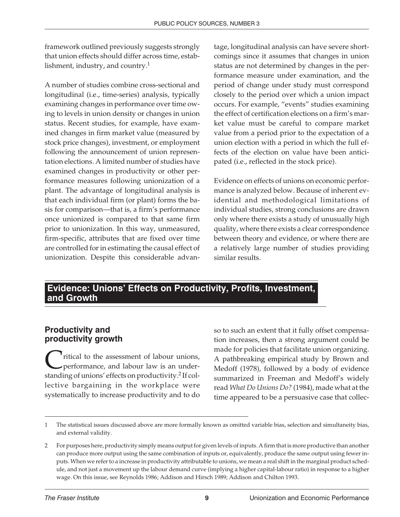framework outlined previously suggests strongly that union effects should differ across time, establishment, industry, and country.<sup>1</sup>

A number of studies combine cross-sectional and longitudinal (i.e., time-series) analysis, typically examining changes in performance over time owing to levels in union density or changes in union status. Recent studies, for example, have examined changes in firm market value (measured by stock price changes), investment, or employment following the announcement of union representation elections. A limited number of studies have examined changes in productivity or other performance measures following unionization of a plant. The advantage of longitudinal analysis is that each individual firm (or plant) forms the basis for comparison—that is, a firm's performance once unionized is compared to that same firm prior to unionization. In this way, unmeasured, firm-specific, attributes that are fixed over time are controlled for in estimating the causal effect of unionization. Despite this considerable advantage, longitudinal analysis can have severe shortcomings since it assumes that changes in union status are not determined by changes in the performance measure under examination, and the period of change under study must correspond closely to the period over which a union impact occurs. For example, "events" studies examining the effect of certification elections on a firm's market value must be careful to compare market value from a period prior to the expectation of a union election with a period in which the full effects of the election on value have been anticipated (i.e., reflected in the stock price).

Evidence on effects of unions on economic performance is analyzed below. Because of inherent evidential and methodological limitations of individual studies, strong conclusions are drawn only where there exists a study of unusually high quality, where there exists a clear correspondence between theory and evidence, or where there are a relatively large number of studies providing similar results.

#### **Evidence: Unions' Effects on Productivity, Profits, Investment, and Growth**

#### **Productivity and productivity growth**

<sup>1</sup> ritical to the assessment of labour unions, performance, and labour law is an understanding of unions' effects on productivity.<sup>2</sup> If collective bargaining in the workplace were systematically to increase productivity and to do

so to such an extent that it fully offset compensation increases, then a strong argument could be made for policies that facilitate union organizing. A pathbreaking empirical study by Brown and Medoff (1978), followed by a body of evidence summarized in Freeman and Medoff's widely read *What Do Unions Do?* (1984), made what at the time appeared to be a persuasive case that collec-

<sup>1</sup> The statistical issues discussed above are more formally known as omitted variable bias, selection and simultaneity bias, and external validity.

<sup>2</sup> For purposes here, productivity simply means output for given levels of inputs. A firm that is more productive than another can produce more output using the same combination of inputs or, equivalently, produce the same output using fewer inputs. When we refer to a increase in productivity attributable to unions, we mean a real shift in the marginal product schedule, and not just a movement up the labour demand curve (implying a higher capital-labour ratio) in response to a higher wage. On this issue, see Reynolds 1986; Addison and Hirsch 1989; Addison and Chilton 1993.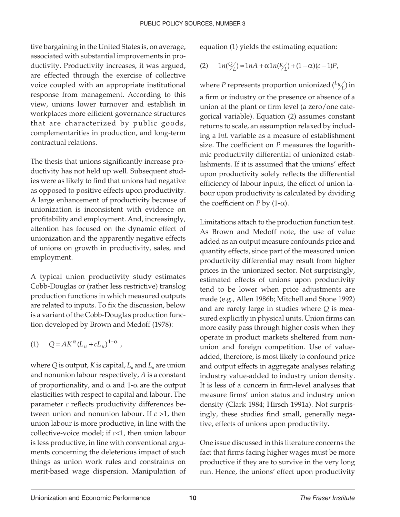tive bargaining in the United States is, on average, associated with substantial improvements in productivity. Productivity increases, it was argued, are effected through the exercise of collective voice coupled with an appropriate institutional response from management. According to this view, unions lower turnover and establish in workplaces more efficient governance structures that are characterized by public goods, complementarities in production, and long-term contractual relations.

The thesis that unions significantly increase productivity has not held up well. Subsequent studies were as likely to find that unions had negative as opposed to positive effects upon productivity. A large enhancement of productivity because of unionization is inconsistent with evidence on profitability and employment. And, increasingly, attention has focused on the dynamic effect of unionization and the apparently negative effects of unions on growth in productivity, sales, and employment.

A typical union productivity study estimates Cobb-Douglas or (rather less restrictive) translog production functions in which measured outputs are related to inputs. To fix the discussion, below is a variant of the Cobb-Douglas production function developed by Brown and Medoff (1978):

$$
(1) \qquad Q = AK^{\alpha} (L_n + cL_u)^{1-\alpha} ,
$$

where Q is output, *K* is capital,  $L_u$  and  $L_u$  are union and nonunion labour respectively, *A* is a constant of proportionality, and α and 1-α are the output elasticities with respect to capital and labour. The parameter *c* reflects productivity differences between union and nonunion labour. If *c* >1, then union labour is more productive, in line with the collective-voice model; if *c*<1, then union labour is less productive, in line with conventional arguments concerning the deleterious impact of such things as union work rules and constraints on merit-based wage dispersion. Manipulation of equation (1) yields the estimating equation:

(2) 
$$
1n(\frac{Q}{L}) \approx 1nA + \alpha 1n(\frac{K}{L}) + (1 - \alpha)(c - 1)P
$$
,

where *P* represents proportion unionized  $\binom{L_{\mathcal{U}}}{L}$  in a firm or industry or the presence or absence of a union at the plant or firm level (a zero/one categorical variable). Equation (2) assumes constant returns to scale, an assumption relaxed by including a l*nL* variable as a measure of establishment size. The coefficient on *P* measures the logarithmic productivity differential of unionized establishments. If it is assumed that the unions' effect upon productivity solely reflects the differential efficiency of labour inputs, the effect of union labour upon productivity is calculated by dividing the coefficient on *P* by  $(1-\alpha)$ .

Limitations attach to the production function test. As Brown and Medoff note, the use of value added as an output measure confounds price and quantity effects, since part of the measured union productivity differential may result from higher prices in the unionized sector. Not surprisingly, estimated effects of unions upon productivity tend to be lower when price adjustments are made (e.g., Allen 1986b; Mitchell and Stone 1992) and are rarely large in studies where *Q* is measured explicitly in physical units. Union firms can more easily pass through higher costs when they operate in product markets sheltered from nonunion and foreign competition. Use of valueadded, therefore, is most likely to confound price and output effects in aggregate analyses relating industry value-added to industry union density. It is less of a concern in firm-level analyses that measure firms' union status and industry union density (Clark 1984; Hirsch 1991a). Not surprisingly, these studies find small, generally negative, effects of unions upon productivity.

One issue discussed in this literature concerns the fact that firms facing higher wages must be more productive if they are to survive in the very long run. Hence, the unions' effect upon productivity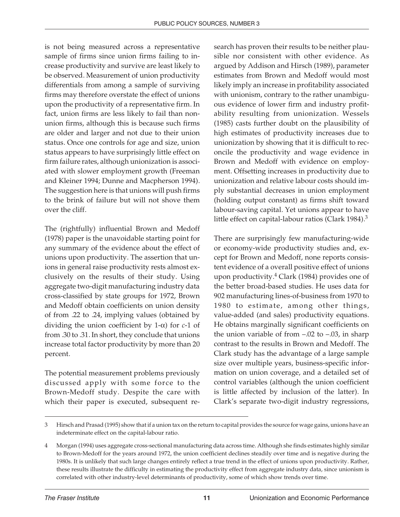is not being measured across a representative sample of firms since union firms failing to increase productivity and survive are least likely to be observed. Measurement of union productivity differentials from among a sample of surviving firms may therefore overstate the effect of unions upon the productivity of a representative firm. In fact, union firms are less likely to fail than nonunion firms, although this is because such firms are older and larger and not due to their union status. Once one controls for age and size, union status appears to have surprisingly little effect on firm failure rates, although unionization is associated with slower employment growth (Freeman and Kleiner 1994; Dunne and Macpherson 1994). The suggestion here is that unions will push firms to the brink of failure but will not shove them over the cliff.

The (rightfully) influential Brown and Medoff (1978) paper is the unavoidable starting point for any summary of the evidence about the effect of unions upon productivity. The assertion that unions in general raise productivity rests almost exclusively on the results of their study. Using aggregate two-digit manufacturing industry data cross-classified by state groups for 1972, Brown and Medoff obtain coefficients on union density of from .22 to .24, implying values (obtained by dividing the union coefficient by 1-α) for *c*-1 of from .30 to .31. In short, they conclude that unions increase total factor productivity by more than 20 percent.

The potential measurement problems previously discussed apply with some force to the Brown-Medoff study. Despite the care with which their paper is executed, subsequent research has proven their results to be neither plausible nor consistent with other evidence. As argued by Addison and Hirsch (1989), parameter estimates from Brown and Medoff would most likely imply an increase in profitability associated with unionism, contrary to the rather unambiguous evidence of lower firm and industry profitability resulting from unionization. Wessels (1985) casts further doubt on the plausibility of high estimates of productivity increases due to unionization by showing that it is difficult to reconcile the productivity and wage evidence in Brown and Medoff with evidence on employment. Offsetting increases in productivity due to unionization and relative labour costs should imply substantial decreases in union employment (holding output constant) as firms shift toward labour-saving capital. Yet unions appear to have little effect on capital-labour ratios (Clark 1984).<sup>3</sup>

There are surprisingly few manufacturing-wide or economy-wide productivity studies and, except for Brown and Medoff, none reports consistent evidence of a overall positive effect of unions upon productivity. $4$  Clark (1984) provides one of the better broad-based studies. He uses data for 902 manufacturing lines-of-business from 1970 to 1980 to estimate, among other things, value-added (and sales) productivity equations. He obtains marginally significant coefficients on the union variable of from  $-.02$  to  $-.03$ , in sharp contrast to the results in Brown and Medoff. The Clark study has the advantage of a large sample size over multiple years, business-specific information on union coverage, and a detailed set of control variables (although the union coefficient is little affected by inclusion of the latter). In Clark's separate two-digit industry regressions,

<sup>3</sup> Hirsch and Prasad (1995) show that if a union tax on the return to capital provides the source for wage gains, unions have an indeterminate effect on the capital-labour ratio.

<sup>4</sup> Morgan (1994) uses aggregate cross-sectional manufacturing data across time. Although she finds estimates highly similar to Brown-Medoff for the years around 1972, the union coefficient declines steadily over time and is negative during the 1980s. It is unlikely that such large changes entirely reflect a true trend in the effect of unions upon productivity. Rather, these results illustrate the difficulty in estimating the productivity effect from aggregate industry data, since unionism is correlated with other industry-level determinants of productivity, some of which show trends over time.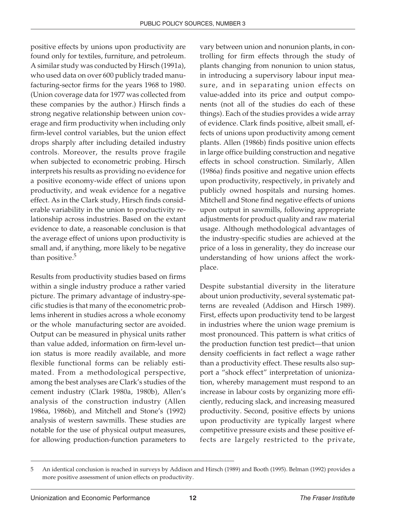positive effects by unions upon productivity are found only for textiles, furniture, and petroleum. A similar study was conducted by Hirsch (1991a), who used data on over 600 publicly traded manufacturing-sector firms for the years 1968 to 1980. (Union coverage data for 1977 was collected from these companies by the author.) Hirsch finds a strong negative relationship between union coverage and firm productivity when including only firm-level control variables, but the union effect drops sharply after including detailed industry controls. Moreover, the results prove fragile when subjected to econometric probing. Hirsch interprets his results as providing no evidence for a positive economy-wide effect of unions upon productivity, and weak evidence for a negative effect. As in the Clark study, Hirsch finds considerable variability in the union to productivity relationship across industries. Based on the extant evidence to date, a reasonable conclusion is that the average effect of unions upon productivity is small and, if anything, more likely to be negative than positive.<sup>5</sup>

Results from productivity studies based on firms within a single industry produce a rather varied picture. The primary advantage of industry-specific studies is that many of the econometric problems inherent in studies across a whole economy or the whole manufacturing sector are avoided. Output can be measured in physical units rather than value added, information on firm-level union status is more readily available, and more flexible functional forms can be reliably estimated. From a methodological perspective, among the best analyses are Clark's studies of the cement industry (Clark 1980a, 1980b), Allen's analysis of the construction industry (Allen 1986a, 1986b), and Mitchell and Stone's (1992) analysis of western sawmills. These studies are notable for the use of physical output measures, for allowing production-function parameters to

vary between union and nonunion plants, in controlling for firm effects through the study of plants changing from nonunion to union status, in introducing a supervisory labour input measure, and in separating union effects on value-added into its price and output components (not all of the studies do each of these things). Each of the studies provides a wide array of evidence. Clark finds positive, albeit small, effects of unions upon productivity among cement plants. Allen (1986b) finds positive union effects in large office building construction and negative effects in school construction. Similarly, Allen (1986a) finds positive and negative union effects upon productivity, respectively, in privately and publicly owned hospitals and nursing homes. Mitchell and Stone find negative effects of unions upon output in sawmills, following appropriate adjustments for product quality and raw material usage. Although methodological advantages of the industry-specific studies are achieved at the price of a loss in generality, they do increase our understanding of how unions affect the workplace.

Despite substantial diversity in the literature about union productivity, several systematic patterns are revealed (Addison and Hirsch 1989). First, effects upon productivity tend to be largest in industries where the union wage premium is most pronounced. This pattern is what critics of the production function test predict—that union density coefficients in fact reflect a wage rather than a productivity effect. These results also support a "shock effect" interpretation of unionization, whereby management must respond to an increase in labour costs by organizing more efficiently, reducing slack, and increasing measured productivity. Second, positive effects by unions upon productivity are typically largest where competitive pressure exists and these positive effects are largely restricted to the private,

<sup>5</sup> An identical conclusion is reached in surveys by Addison and Hirsch (1989) and Booth (1995). Belman (1992) provides a more positive assessment of union effects on productivity.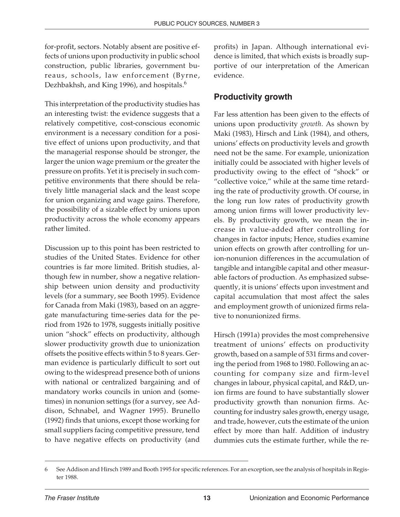for-profit, sectors. Notably absent are positive effects of unions upon productivity in public school construction, public libraries, government bureaus, schools, law enforcement (Byrne, Dezhbakhsh, and King 1996), and hospitals.<sup>6</sup>

This interpretation of the productivity studies has an interesting twist: the evidence suggests that a relatively competitive, cost-conscious economic environment is a necessary condition for a positive effect of unions upon productivity, and that the managerial response should be stronger, the larger the union wage premium or the greater the pressure on profits. Yet it is precisely in such competitive environments that there should be relatively little managerial slack and the least scope for union organizing and wage gains. Therefore, the possibility of a sizable effect by unions upon productivity across the whole economy appears rather limited.

Discussion up to this point has been restricted to studies of the United States. Evidence for other countries is far more limited. British studies, although few in number, show a negative relationship between union density and productivity levels (for a summary, see Booth 1995). Evidence for Canada from Maki (1983), based on an aggregate manufacturing time-series data for the period from 1926 to 1978, suggests initially positive union "shock" effects on productivity, although slower productivity growth due to unionization offsets the positive effects within 5 to 8 years. German evidence is particularly difficult to sort out owing to the widespread presence both of unions with national or centralized bargaining and of mandatory works councils in union and (sometimes) in nonunion settings (for a survey, see Addison, Schnabel, and Wagner 1995). Brunello (1992) finds that unions, except those working for small suppliers facing competitive pressure, tend to have negative effects on productivity (and

profits) in Japan. Although international evidence is limited, that which exists is broadly supportive of our interpretation of the American evidence.

#### **Productivity growth**

Far less attention has been given to the effects of unions upon productivity *growth*. As shown by Maki (1983), Hirsch and Link (1984), and others, unions' effects on productivity levels and growth need not be the same. For example, unionization initially could be associated with higher levels of productivity owing to the effect of "shock" or "collective voice," while at the same time retarding the rate of productivity growth. Of course, in the long run low rates of productivity growth among union firms will lower productivity levels. By productivity growth, we mean the increase in value-added after controlling for changes in factor inputs; Hence, studies examine union effects on growth after controlling for union-nonunion differences in the accumulation of tangible and intangible capital and other measurable factors of production. As emphasized subsequently, it is unions' effects upon investment and capital accumulation that most affect the sales and employment growth of unionized firms relative to nonunionized firms.

Hirsch (1991a) provides the most comprehensive treatment of unions' effects on productivity growth, based on a sample of 531 firms and covering the period from 1968 to 1980. Following an accounting for company size and firm-level changes in labour, physical capital, and R&D, union firms are found to have substantially slower productivity growth than nonunion firms. Accounting for industry sales growth, energy usage, and trade, however, cuts the estimate of the union effect by more than half. Addition of industry dummies cuts the estimate further, while the re-

<sup>6</sup> See Addison and Hirsch 1989 and Booth 1995 for specific references. For an exception, see the analysis of hospitals in Register 1988.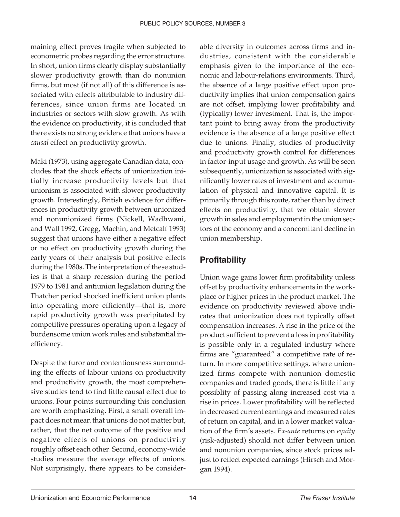maining effect proves fragile when subjected to econometric probes regarding the error structure. In short, union firms clearly display substantially slower productivity growth than do nonunion firms, but most (if not all) of this difference is associated with effects attributable to industry differences, since union firms are located in industries or sectors with slow growth. As with the evidence on productivity, it is concluded that there exists no strong evidence that unions have a *causal* effect on productivity growth.

Maki (1973), using aggregate Canadian data, concludes that the shock effects of unionization initially increase productivity levels but that unionism is associated with slower productivity growth. Interestingly, British evidence for differences in productivity growth between unionized and nonunionized firms (Nickell, Wadhwani, and Wall 1992, Gregg, Machin, and Metcalf 1993) suggest that unions have either a negative effect or no effect on productivity growth during the early years of their analysis but positive effects during the 1980s. The interpretation of these studies is that a sharp recession during the period 1979 to 1981 and antiunion legislation during the Thatcher period shocked inefficient union plants into operating more efficiently—that is, more rapid productivity growth was precipitated by competitive pressures operating upon a legacy of burdensome union work rules and substantial inefficiency.

Despite the furor and contentiousness surrounding the effects of labour unions on productivity and productivity growth, the most comprehensive studies tend to find little causal effect due to unions. Four points surrounding this conclusion are worth emphasizing. First, a small overall impact does not mean that unions do not matter but, rather, that the net outcome of the positive and negative effects of unions on productivity roughly offset each other. Second, economy-wide studies measure the average effects of unions. Not surprisingly, there appears to be consider-

able diversity in outcomes across firms and industries, consistent with the considerable emphasis given to the importance of the economic and labour-relations environments. Third, the absence of a large positive effect upon productivity implies that union compensation gains are not offset, implying lower profitability and (typically) lower investment. That is, the important point to bring away from the productivity evidence is the absence of a large positive effect due to unions. Finally, studies of productivity and productivity growth control for differences in factor-input usage and growth. As will be seen subsequently, unionization is associated with significantly lower rates of investment and accumulation of physical and innovative capital. It is primarily through this route, rather than by direct effects on productivity, that we obtain slower growth in sales and employment in the union sectors of the economy and a concomitant decline in union membership.

#### **Profitability**

Union wage gains lower firm profitability unless offset by productivity enhancements in the workplace or higher prices in the product market. The evidence on productivity reviewed above indicates that unionization does not typically offset compensation increases. A rise in the price of the product sufficient to prevent a loss in profitability is possible only in a regulated industry where firms are "guaranteed" a competitive rate of return. In more competitive settings, where unionized firms compete with nonunion domestic companies and traded goods, there is little if any possiblity of passing along increased cost via a rise in prices. Lower profitability will be reflected in decreased current earnings and measured rates of return on capital, and in a lower market valuation of the firm's assets. *Ex-ante* returns on *equity* (risk-adjusted) should not differ between union and nonunion companies, since stock prices adjust to reflect expected earnings (Hirsch and Morgan 1994).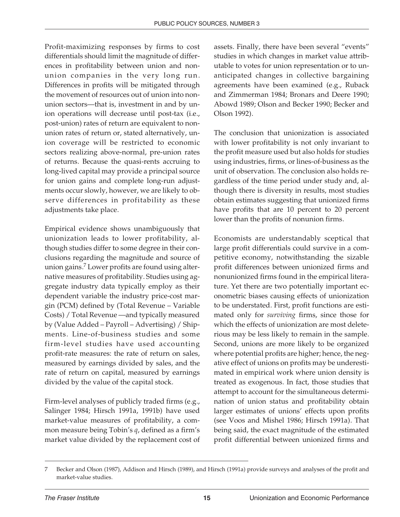Profit-maximizing responses by firms to cost differentials should limit the magnitude of differences in profitability between union and nonunion companies in the very long run. Differences in profits will be mitigated through the movement of resources out of union into nonunion sectors—that is, investment in and by union operations will decrease until post-tax (i.e., post-union) rates of return are equivalent to nonunion rates of return or, stated alternatively, union coverage will be restricted to economic sectors realizing above-normal, pre-union rates of returns. Because the quasi-rents accruing to long-lived capital may provide a principal source for union gains and complete long-run adjustments occur slowly, however, we are likely to observe differences in profitability as these adjustments take place.

Empirical evidence shows unambiguously that unionization leads to lower profitability, although studies differ to some degree in their conclusions regarding the magnitude and source of union gains.<sup>7</sup> Lower profits are found using alternative measures of profitability. Studies using aggregate industry data typically employ as their dependent variable the industry price-cost margin (PCM) defined by (Total Revenue – Variable Costs) / Total Revenue —and typically measured by (Value Added – Payroll – Advertising) / Shipments. Line-of-business studies and some firm-level studies have used accounting profit-rate measures: the rate of return on sales, measured by earnings divided by sales, and the rate of return on capital, measured by earnings divided by the value of the capital stock.

Firm-level analyses of publicly traded firms (e.g., Salinger 1984; Hirsch 1991a, 1991b) have used market-value measures of profitability, a common measure being Tobin's *q*, defined as a firm's market value divided by the replacement cost of assets. Finally, there have been several "events" studies in which changes in market value attributable to votes for union representation or to unanticipated changes in collective bargaining agreements have been examined (e.g., Ruback and Zimmerman 1984; Bronars and Deere 1990; Abowd 1989; Olson and Becker 1990; Becker and Olson 1992).

The conclusion that unionization is associated with lower profitability is not only invariant to the profit measure used but also holds for studies using industries, firms, or lines-of-business as the unit of observation. The conclusion also holds regardless of the time period under study and, although there is diversity in results, most studies obtain estimates suggesting that unionized firms have profits that are 10 percent to 20 percent lower than the profits of nonunion firms.

Economists are understandably sceptical that large profit differentials could survive in a competitive economy, notwithstanding the sizable profit differences between unionized firms and nonunionized firms found in the empirical literature. Yet there are two potentially important econometric biases causing effects of unionization to be understated. First, profit functions are estimated only for *surviving* firms, since those for which the effects of unionization are most deleterious may be less likely to remain in the sample. Second, unions are more likely to be organized where potential profits are higher; hence, the negative effect of unions on profits may be underestimated in empirical work where union density is treated as exogenous. In fact, those studies that attempt to account for the simultaneous determination of union status and profitability obtain larger estimates of unions' effects upon profits (see Voos and Mishel 1986; Hirsch 1991a). That being said, the exact magnitude of the estimated profit differential between unionized firms and

<sup>7</sup> Becker and Olson (1987), Addison and Hirsch (1989), and Hirsch (1991a) provide surveys and analyses of the profit and market-value studies.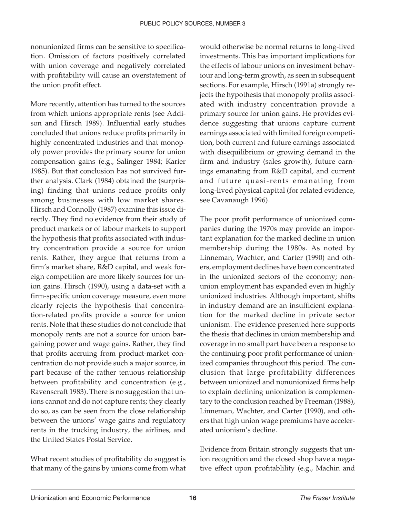nonunionized firms can be sensitive to specification. Omission of factors positively correlated with union coverage and negatively correlated with profitability will cause an overstatement of the union profit effect.

More recently, attention has turned to the sources from which unions appropriate rents (see Addison and Hirsch 1989). Influential early studies concluded that unions reduce profits primarily in highly concentrated industries and that monopoly power provides the primary source for union compensation gains (e.g., Salinger 1984; Karier 1985). But that conclusion has not survived further analysis. Clark (1984) obtained the (surprising) finding that unions reduce profits only among businesses with low market shares. Hirsch and Connolly (1987) examine this issue directly. They find no evidence from their study of product markets or of labour markets to support the hypothesis that profits associated with industry concentration provide a source for union rents. Rather, they argue that returns from a firm's market share, R&D capital, and weak foreign competition are more likely sources for union gains. Hirsch (1990), using a data-set with a firm-specific union coverage measure, even more clearly rejects the hypothesis that concentration-related profits provide a source for union rents. Note that these studies do not conclude that monopoly rents are not a source for union bargaining power and wage gains. Rather, they find that profits accruing from product-market concentration do not provide such a major source, in part because of the rather tenuous relationship between profitability and concentration (e.g., Ravenscraft 1983). There is no suggestion that unions cannot and do not capture rents; they clearly do so, as can be seen from the close relationship between the unions' wage gains and regulatory rents in the trucking industry, the airlines, and the United States Postal Service.

What recent studies of profitability do suggest is that many of the gains by unions come from what

would otherwise be normal returns to long-lived investments. This has important implications for the effects of labour unions on investment behaviour and long-term growth, as seen in subsequent sections. For example, Hirsch (1991a) strongly rejects the hypothesis that monopoly profits associated with industry concentration provide a primary source for union gains. He provides evidence suggesting that unions capture current earnings associated with limited foreign competition, both current and future earnings associated with disequilibrium or growing demand in the firm and industry (sales growth), future earnings emanating from R&D capital, and current and future quasi-rents emanating from long-lived physical capital (for related evidence, see Cavanaugh 1996).

The poor profit performance of unionized companies during the 1970s may provide an important explanation for the marked decline in union membership during the 1980s. As noted by Linneman, Wachter, and Carter (1990) and others, employment declines have been concentrated in the unionized sectors of the economy; nonunion employment has expanded even in highly unionized industries. Although important, shifts in industry demand are an insufficient explanation for the marked decline in private sector unionism. The evidence presented here supports the thesis that declines in union membership and coverage in no small part have been a response to the continuing poor profit performance of unionized companies throughout this period. The conclusion that large profitability differences between unionized and nonunionized firms help to explain declining unionization is complementary to the conclusion reached by Freeman (1988), Linneman, Wachter, and Carter (1990), and others that high union wage premiums have accelerated unionism's decline.

Evidence from Britain strongly suggests that union recognition and the closed shop have a negative effect upon profitablility (e.g., Machin and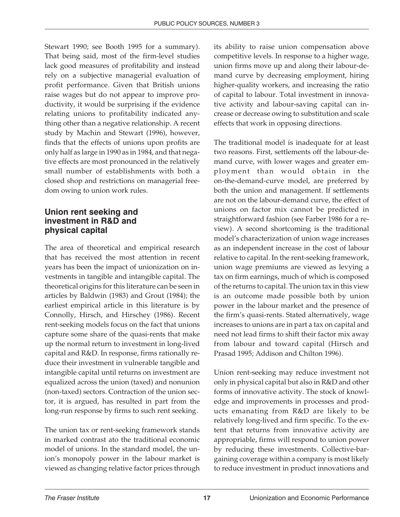Stewart 1990; see Booth 1995 for a summary). That being said, most of the firm-level studies lack good measures of profitability and instead rely on a subjective managerial evaluation of profit performance. Given that British unions raise wages but do not appear to improve productivity, it would be surprising if the evidence relating unions to profitability indicated anything other than a negative relationship. A recent study by Machin and Stewart (1996), however, finds that the effects of unions upon profits are only half as large in 1990 as in 1984, and that negative effects are most pronounced in the relatively small number of establishments with both a closed shop and restrictions on managerial freedom owing to union work rules.

#### **Union rent seeking and investment in R&D and physical capital**

The area of theoretical and empirical research that has received the most attention in recent years has been the impact of unionization on investments in tangible and intangible capital. The theoretical origins for this literature can be seen in articles by Baldwin (1983) and Grout (1984); the earliest empirical article in this literature is by Connolly, Hirsch, and Hirschey (1986). Recent rent-seeking models focus on the fact that unions capture some share of the quasi-rents that make up the normal return to investment in long-lived capital and R&D. In response, firms rationally reduce their investment in vulnerable tangible and intangible capital until returns on investment are equalized across the union (taxed) and nonunion (non-taxed) sectors. Contraction of the union sector, it is argued, has resulted in part from the long-run response by firms to such rent seeking.

The union tax or rent-seeking framework stands in marked contrast ato the traditional economic model of unions. In the standard model, the union's monopoly power in the labour market is viewed as changing relative factor prices through its ability to raise union compensation above competitive levels. In response to a higher wage, union firms move up and along their labour-demand curve by decreasing employment, hiring higher-quality workers, and increasing the ratio of capital to labour. Total investment in innovative activity and labour-saving capital can increase or decrease owing to substitution and scale effects that work in opposing directions.

The traditional model is inadequate for at least two reasons. First, settlements off the labour-demand curve, with lower wages and greater employment than would obtain in the on-the-demand-curve model, are preferred by both the union and management. If settlements are not on the labour-demand curve, the effect of unions on factor mix cannot be predicted in straightforward fashion (see Farber 1986 for a review). A second shortcoming is the traditional model's characterization of union wage increases as an independent increase in the cost of labour relative to capital. In the rent-seeking framework, union wage premiums are viewed as levying a tax on firm earnings, much of which is composed of the returns to capital. The union tax in this view is an outcome made possible both by union power in the labour market and the presence of the firm's quasi-rents. Stated alternatively, wage increases to unions are in part a tax on capital and need not lead firms to shift their factor mix away from labour and toward capital (Hirsch and Prasad 1995; Addison and Chilton 1996).

Union rent-seeking may reduce investment not only in physical capital but also in R&D and other forms of innovative activity. The stock of knowledge and improvements in processes and products emanating from R&D are likely to be relatively long-lived and firm specific. To the extent that returns from innovative activity are appropriable, firms will respond to union power by reducing these investments. Collective-bargaining coverage within a company is most likely to reduce investment in product innovations and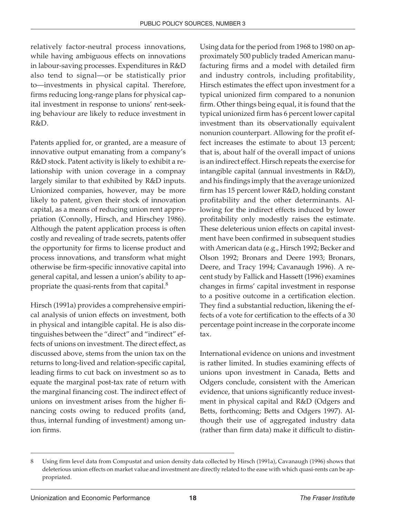relatively factor-neutral process innovations, while having ambiguous effects on innovations in labour-saving processes. Expenditures in R&D also tend to signal—or be statistically prior to—investments in physical capital. Therefore, firms reducing long-range plans for physical capital investment in response to unions' rent-seeking behaviour are likely to reduce investment in R&D.

Patents applied for, or granted, are a measure of innovative output emanating from a company's R&D stock. Patent activity is likely to exhibit a relationship with union coverage in a compnay largely similar to that exhibited by R&D inputs. Unionized companies, however, may be more likely to patent, given their stock of innovation capital, as a means of reducing union rent appropriation (Connolly, Hirsch, and Hirschey 1986). Although the patent application process is often costly and revealing of trade secrets, patents offer the opportunity for firms to license product and process innovations, and transform what might otherwise be firm-specific innovative capital into general capital, and lessen a union's ability to appropriate the quasi-rents from that capital.<sup>8</sup>

Hirsch (1991a) provides a comprehensive empirical analysis of union effects on investment, both in physical and intangible capital. He is also distinguishes between the "direct" and "indirect" effects of unions on investment. The direct effect, as discussed above, stems from the union tax on the returns to long-lived and relation-specific capital, leading firms to cut back on investment so as to equate the marginal post-tax rate of return with the marginal financing cost. The indirect effect of unions on investment arises from the higher financing costs owing to reduced profits (and, thus, internal funding of investment) among union firms.

Using data for the period from 1968 to 1980 on approximately 500 publicly traded American manufacturing firms and a model with detailed firm and industry controls, including profitability, Hirsch estimates the effect upon investment for a typical unionized firm compared to a nonunion firm. Other things being equal, it is found that the typical unionized firm has 6 percent lower capital investment than its observationally equivalent nonunion counterpart. Allowing for the profit effect increases the estimate to about 13 percent; that is, about half of the overall impact of unions is an indirect effect. Hirsch repeats the exercise for intangible capital (annual investments in R&D), and his findings imply that the average unionized firm has 15 percent lower R&D, holding constant profitability and the other determinants. Allowing for the indirect effects induced by lower profitability only modestly raises the estimate. These deleterious union effects on capital investment have been confirmed in subsequent studies with American data (e.g., Hirsch 1992; Becker and Olson 1992; Bronars and Deere 1993; Bronars, Deere, and Tracy 1994; Cavanaugh 1996). A recent study by Fallick and Hassett (1996) examines changes in firms' capital investment in response to a positive outcome in a certification election. They find a substantial reduction, likening the effects of a vote for certification to the effects of a 30 percentage point increase in the corporate income tax.

International evidence on unions and investment is rather limited. In studies examining effects of unions upon investment in Canada, Betts and Odgers conclude, consistent with the American evidence, that unions significantly reduce investment in physical capital and R&D (Odgers and Betts, forthcoming; Betts and Odgers 1997). Although their use of aggregated industry data (rather than firm data) make it difficult to distin-

<sup>8</sup> Using firm level data from Compustat and union density data collected by Hirsch (1991a), Cavanaugh (1996) shows that deleterious union effects on market value and investment are directly related to the ease with which quasi-rents can be appropriated.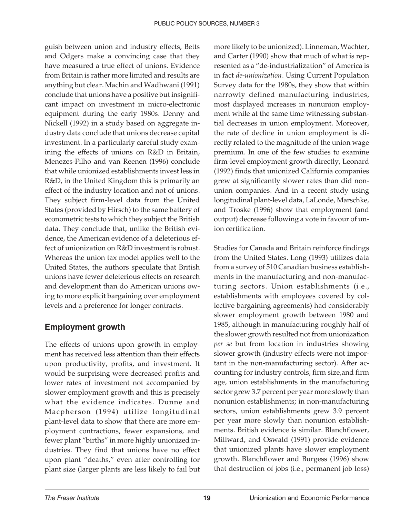guish between union and industry effects, Betts and Odgers make a convincing case that they have measured a true effect of unions. Evidence from Britain is rather more limited and results are anything but clear. Machin and Wadhwani (1991) conclude that unions have a positive but insignificant impact on investment in micro-electronic equipment during the early 1980s. Denny and Nickell (1992) in a study based on aggregate industry data conclude that unions decrease capital investment. In a particularly careful study examining the effects of unions on R&D in Britain, Menezes-Filho and van Reenen (1996) conclude that while unionized establishments invest less in R&D, in the United Kingdom this is primarily an effect of the industry location and not of unions. They subject firm-level data from the United States (provided by Hirsch) to the same battery of econometric tests to which they subject the British data. They conclude that, unlike the British evidence, the American evidence of a deleterious effect of unionization on R&D investment is robust. Whereas the union tax model applies well to the United States, the authors speculate that British unions have fewer deleterious effects on research and development than do American unions owing to more explicit bargaining over employment levels and a preference for longer contracts.

#### **Employment growth**

The effects of unions upon growth in employment has received less attention than their effects upon productivity, profits, and investment. It would be surprising were decreased profits and lower rates of investment not accompanied by slower employment growth and this is precisely what the evidence indicates. Dunne and Macpherson (1994) utilize longitudinal plant-level data to show that there are more employment contractions, fewer expansions, and fewer plant "births" in more highly unionized industries. They find that unions have no effect upon plant "deaths," even after controlling for plant size (larger plants are less likely to fail but

more likely to be unionized). Linneman, Wachter, and Carter (1990) show that much of what is represented as a "de-industrialization" of America is in fact *de-unionization*. Using Current Population Survey data for the 1980s, they show that within narrowly defined manufacturing industries, most displayed increases in nonunion employment while at the same time witnessing substantial decreases in union employment. Moreover, the rate of decline in union employment is directly related to the magnitude of the union wage premium. In one of the few studies to examine firm-level employment growth directly, Leonard (1992) finds that unionized California companies grew at significantly slower rates than did nonunion companies. And in a recent study using longitudinal plant-level data, LaLonde, Marschke, and Troske (1996) show that employment (and output) decrease following a vote in favour of union certification.

Studies for Canada and Britain reinforce findings from the United States. Long (1993) utilizes data from a survey of 510 Canadian business establishments in the manufacturing and non-manufacturing sectors. Union establishments (i.e., establishments with employees covered by collective bargaining agreements) had considerably slower employment growth between 1980 and 1985, although in manufacturing roughly half of the slower growth resulted not from unionization *per se* but from location in industries showing slower growth (industry effects were not important in the non-manufacturing sector). After accounting for industry controls, firm size,and firm age, union establishments in the manufacturing sector grew 3.7 percent per year more slowly than nonunion establishments; in non-manufacturing sectors, union establishments grew 3.9 percent per year more slowly than nonunion establishments. British evidence is similar. Blanchflower, Millward, and Oswald (1991) provide evidence that unionized plants have slower employment growth. Blanchflower and Burgess (1996) show that destruction of jobs (i.e., permanent job loss)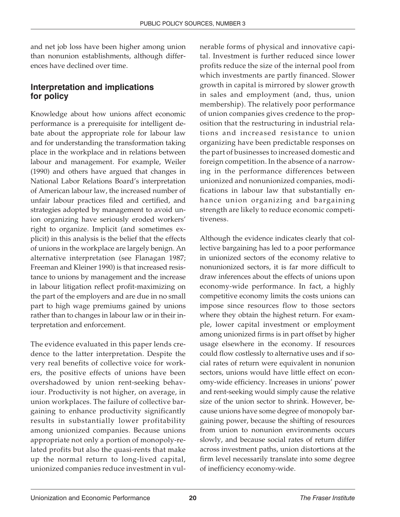and net job loss have been higher among union than nonunion establishments, although differences have declined over time.

#### **Interpretation and implications for policy**

Knowledge about how unions affect economic performance is a prerequisite for intelligent debate about the appropriate role for labour law and for understanding the transformation taking place in the workplace and in relations between labour and management. For example, Weiler (1990) and others have argued that changes in National Labor Relations Board's interpretation of American labour law, the increased number of unfair labour practices filed and certified, and strategies adopted by management to avoid union organizing have seriously eroded workers' right to organize. Implicit (and sometimes explicit) in this analysis is the belief that the effects of unions in the workplace are largely benign. An alternative interpretation (see Flanagan 1987; Freeman and Kleiner 1990) is that increased resistance to unions by management and the increase in labour litigation reflect profit-maximizing on the part of the employers and are due in no small part to high wage premiums gained by unions rather than to changes in labour law or in their interpretation and enforcement.

The evidence evaluated in this paper lends credence to the latter interpretation. Despite the very real benefits of collective voice for workers, the positive effects of unions have been overshadowed by union rent-seeking behaviour. Productivity is not higher, on average, in union workplaces. The failure of collective bargaining to enhance productivity significantly results in substantially lower profitability among unionized companies. Because unions appropriate not only a portion of monopoly-related profits but also the quasi-rents that make up the normal return to long-lived capital, unionized companies reduce investment in vulnerable forms of physical and innovative capital. Investment is further reduced since lower profits reduce the size of the internal pool from which investments are partly financed. Slower growth in capital is mirrored by slower growth in sales and employment (and, thus, union membership). The relatively poor performance of union companies gives credence to the proposition that the restructuring in industrial relations and increased resistance to union organizing have been predictable responses on the part of businesses to increased domestic and foreign competition. In the absence of a narrowing in the performance differences between unionized and nonunionized companies, modifications in labour law that substantially enhance union organizing and bargaining strength are likely to reduce economic competitiveness.

Although the evidence indicates clearly that collective bargaining has led to a poor performance in unionized sectors of the economy relative to nonunionized sectors, it is far more difficult to draw inferences about the effects of unions upon economy-wide performance. In fact, a highly competitive economy limits the costs unions can impose since resources flow to those sectors where they obtain the highest return. For example, lower capital investment or employment among unionized firms is in part offset by higher usage elsewhere in the economy. If resources could flow costlessly to alternative uses and if social rates of return were equivalent in nonunion sectors, unions would have little effect on economy-wide efficiency. Increases in unions' power and rent-seeking would simply cause the relative size of the union sector to shrink. However, because unions have some degree of monopoly bargaining power, because the shifting of resources from union to nonunion environments occurs slowly, and because social rates of return differ across investment paths, union distortions at the firm level necessarily translate into some degree of inefficiency economy-wide.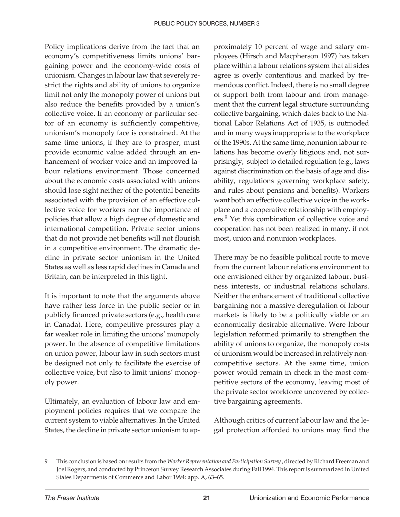Policy implications derive from the fact that an economy's competitiveness limits unions' bargaining power and the economy-wide costs of unionism. Changes in labour law that severely restrict the rights and ability of unions to organize limit not only the monopoly power of unions but also reduce the benefits provided by a union's collective voice. If an economy or particular sector of an economy is sufficiently competitive, unionism's monopoly face is constrained. At the same time unions, if they are to prosper, must provide economic value added through an enhancement of worker voice and an improved labour relations environment. Those concerned about the economic costs associated with unions should lose sight neither of the potential benefits associated with the provision of an effective collective voice for workers nor the importance of policies that allow a high degree of domestic and international competition. Private sector unions that do not provide net benefits will not flourish in a competitive environment. The dramatic decline in private sector unionism in the United States as well as less rapid declines in Canada and Britain, can be interpreted in this light.

It is important to note that the arguments above have rather less force in the public sector or in publicly financed private sectors (e.g., health care in Canada). Here, competitive pressures play a far weaker role in limiting the unions' monopoly power. In the absence of competitive limitations on union power, labour law in such sectors must be designed not only to facilitate the exercise of collective voice, but also to limit unions' monopoly power.

Ultimately, an evaluation of labour law and employment policies requires that we compare the current system to viable alternatives. In the United States, the decline in private sector unionism to approximately 10 percent of wage and salary employees (Hirsch and Macpherson 1997) has taken place within a labour relations system that all sides agree is overly contentious and marked by tremendous conflict. Indeed, there is no small degree of support both from labour and from management that the current legal structure surrounding collective bargaining, which dates back to the National Labor Relations Act of 1935, is outmoded and in many ways inappropriate to the workplace of the 1990s. At the same time, nonunion labour relations has become overly litigious and, not surprisingly, subject to detailed regulation (e.g., laws against discrimination on the basis of age and disability, regulations governing workplace safety, and rules about pensions and benefits). Workers want both an effective collective voice in the workplace and a cooperative relationship with employers.9 Yet this combination of collective voice and cooperation has not been realized in many, if not most, union and nonunion workplaces.

There may be no feasible political route to move from the current labour relations environment to one envisioned either by organized labour, business interests, or industrial relations scholars. Neither the enhancement of traditional collective bargaining nor a massive deregulation of labour markets is likely to be a politically viable or an economically desirable alternative. Were labour legislation reformed primarily to strengthen the ability of unions to organize, the monopoly costs of unionism would be increased in relatively noncompetitive sectors. At the same time, union power would remain in check in the most competitive sectors of the economy, leaving most of the private sector workforce uncovered by collective bargaining agreements.

Although critics of current labour law and the legal protection afforded to unions may find the

<sup>9</sup> This conclusion is based on results from the *Worker Representation and Participation Survey* , directed by Richard Freeman and Joel Rogers, and conducted by Princeton Survey Research Associates during Fall 1994. This report is summarized in United States Departments of Commerce and Labor 1994: app. A, 63–65.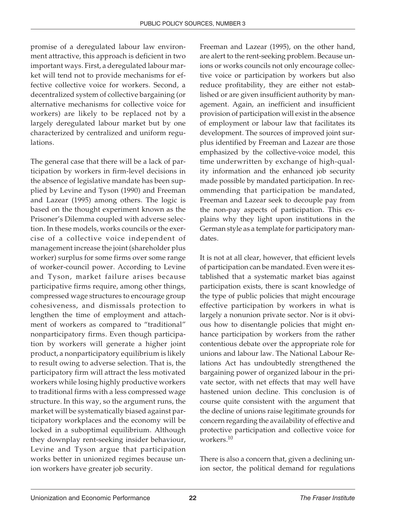promise of a deregulated labour law environment attractive, this approach is deficient in two important ways. First, a deregulated labour market will tend not to provide mechanisms for effective collective voice for workers. Second, a decentralized system of collective bargaining (or alternative mechanisms for collective voice for workers) are likely to be replaced not by a largely deregulated labour market but by one characterized by centralized and uniform regulations.

The general case that there will be a lack of participation by workers in firm-level decisions in the absence of legislative mandate has been supplied by Levine and Tyson (1990) and Freeman and Lazear (1995) among others. The logic is based on the thought experiment known as the Prisoner's Dilemma coupled with adverse selection. In these models, works councils or the exercise of a collective voice independent of management increase the joint (shareholder plus worker) surplus for some firms over some range of worker-council power. According to Levine and Tyson, market failure arises because participative firms require, among other things, compressed wage structures to encourage group cohesiveness, and dismissals protection to lengthen the time of employment and attachment of workers as compared to "traditional" nonparticipatory firms. Even though participation by workers will generate a higher joint product, a nonparticipatory equilibrium is likely to result owing to adverse selection. That is, the participatory firm will attract the less motivated workers while losing highly productive workers to traditional firms with a less compressed wage structure. In this way, so the argument runs, the market will be systematically biased against participatory workplaces and the economy will be locked in a suboptimal equilibrium. Although they downplay rent-seeking insider behaviour, Levine and Tyson argue that participation works better in unionized regimes because union workers have greater job security.

Freeman and Lazear (1995), on the other hand, are alert to the rent-seeking problem. Because unions or works councils not only encourage collective voice or participation by workers but also reduce profitability, they are either not established or are given insufficient authority by management. Again, an inefficient and insufficient provision of participation will exist in the absence of employment or labour law that facilitates its development. The sources of improved joint surplus identified by Freeman and Lazear are those emphasized by the collective-voice model, this time underwritten by exchange of high-quality information and the enhanced job security made possible by mandated participation. In recommending that participation be mandated, Freeman and Lazear seek to decouple pay from the non-pay aspects of participation. This explains why they light upon institutions in the German style as a template for participatory mandates.

It is not at all clear, however, that efficient levels of participation can be mandated. Even were it established that a systematic market bias against participation exists, there is scant knowledge of the type of public policies that might encourage effective participation by workers in what is largely a nonunion private sector. Nor is it obvious how to disentangle policies that might enhance participation by workers from the rather contentious debate over the appropriate role for unions and labour law. The National Labour Relations Act has undoubtedly strengthened the bargaining power of organized labour in the private sector, with net effects that may well have hastened union decline. This conclusion is of course quite consistent with the argument that the decline of unions raise legitimate grounds for concern regarding the availability of effective and protective participation and collective voice for workers.<sup>10</sup>

There is also a concern that, given a declining union sector, the political demand for regulations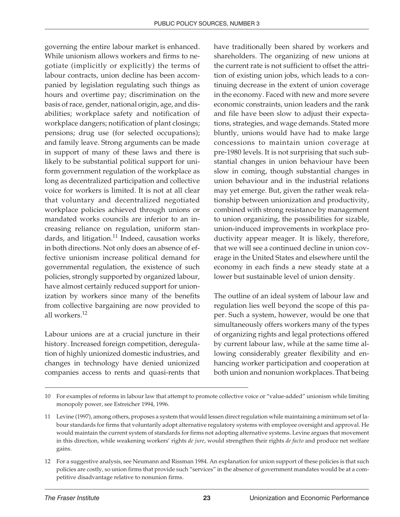governing the entire labour market is enhanced. While unionism allows workers and firms to negotiate (implicitly or explicitly) the terms of labour contracts, union decline has been accompanied by legislation regulating such things as hours and overtime pay; discrimination on the basis of race, gender, national origin, age, and disabilities; workplace safety and notification of workplace dangers; notification of plant closings; pensions; drug use (for selected occupations); and family leave. Strong arguments can be made in support of many of these laws and there is likely to be substantial political support for uniform government regulation of the workplace as long as decentralized participation and collective voice for workers is limited. It is not at all clear that voluntary and decentralized negotiated workplace policies achieved through unions or mandated works councils are inferior to an increasing reliance on regulation, uniform standards, and litigation.<sup>11</sup> Indeed, causation works in both directions. Not only does an absence of effective unionism increase political demand for governmental regulation, the existence of such policies, strongly supported by organized labour, have almost certainly reduced support for unionization by workers since many of the benefits from collective bargaining are now provided to all workers.<sup>12</sup>

Labour unions are at a crucial juncture in their history. Increased foreign competition, deregulation of highly unionized domestic industries, and changes in technology have denied unionized companies access to rents and quasi-rents that have traditionally been shared by workers and shareholders. The organizing of new unions at the current rate is not sufficient to offset the attrition of existing union jobs, which leads to a continuing decrease in the extent of union coverage in the economy. Faced with new and more severe economic constraints, union leaders and the rank and file have been slow to adjust their expectations, strategies, and wage demands. Stated more bluntly, unions would have had to make large concessions to maintain union coverage at pre-1980 levels. It is not surprising that such substantial changes in union behaviour have been slow in coming, though substantial changes in union behaviour and in the industrial relations may yet emerge. But, given the rather weak relationship between unionization and productivity, combined with strong resistance by management to union organizing, the possibilities for sizable, union-induced improvements in workplace productivity appear meager. It is likely, therefore, that we will see a continued decline in union coverage in the United States and elsewhere until the economy in each finds a new steady state at a lower but sustainable level of union density.

The outline of an ideal system of labour law and regulation lies well beyond the scope of this paper. Such a system, however, would be one that simultaneously offers workers many of the types of organizing rights and legal protections offered by current labour law, while at the same time allowing considerably greater flexibility and enhancing worker participation and cooperation at both union and nonunion workplaces. That being

<sup>10</sup> For examples of reforms in labour law that attempt to promote collective voice or "value-added" unionism while limiting monopoly power, see Estreicher 1994, 1996.

<sup>11</sup> Levine (1997), among others, proposes a system that would lessen direct regulation while maintaining a minimum set of labour standards for firms that voluntarily adopt alternative regulatory systems with employee oversight and approval. He would maintain the current system of standards for firms not adopting alternative systems. Levine argues that movement in this direction, while weakening workers' rights *de jure*, would strengthen their rights *de facto* and produce net welfare gains.

<sup>12</sup> For a suggestive analysis, see Neumann and Rissman 1984. An explanation for union support of these policies is that such policies are costly, so union firms that provide such "services" in the absence of government mandates would be at a competitive disadvantage relative to nonunion firms.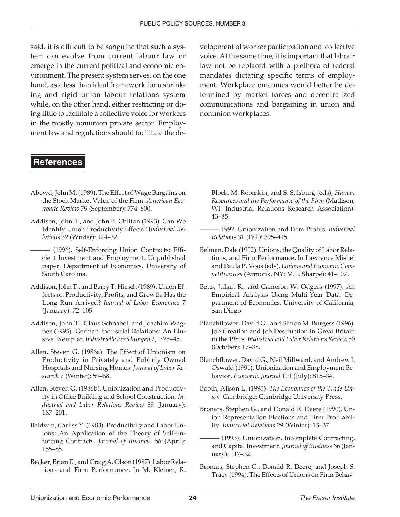said, it is difficult to be sanguine that such a system can evolve from current labour law or emerge in the current political and economic environment. The present system serves, on the one hand, as a less than ideal framework for a shrinking and rigid union labour relations system while, on the other hand, either restricting or doing little to facilitate a collective voice for workers in the mostly nonunion private sector. Employment law and regulations should facilitate the de-

#### **References**

- Abowd, John M. (1989). The Effect of Wage Bargains on the Stock Market Value of the Firm. *American Economic Review* 79 (September): 774–800.
- Addison, John T., and John B. Chilton (1993). Can We Identify Union Productivity Effects? I*ndustrial Relations* 32 (Winter): 124–32.
- ——— (1996). Self-Enforcing Union Contracts: Efficient Investment and Employment. Unpublished paper. Department of Economics, University of South Carolina.
- Addison, John T., and Barry T. Hirsch (1989). Union Effects on Productivity, Profits, and Growth: Has the Long Run Arrived? *Journal of Labor Economics* 7 (January): 72–105.
- Addison, John T., Claus Schnabel, and Joachim Wagner (1995). German Industrial Relations: An Elusive Exemplar.*Industrielle Beziehungen* 2, 1: 25–45.
- Allen, Steven G. (1986a). The Effect of Unionism on Productivity in Privately and Publicly Owned Hospitals and Nursing Homes. *Journal of Labor Research* 7 (Winter): 59–68.
- Allen, Steven G. (1986b). Unionization and Productivity in Office Building and School Construction. *Industrial and Labor Relations Review* 39 (January): 187–201.
- Baldwin, Carliss Y. (1983). Productivity and Labor Unions: An Application of the Theory of Self-Enforcing Contracts. *Journal of Business* 56 (April): 155–85.
- Becker, Brian E., and Craig A. Olson (1987). Labor Relations and Firm Performance. In M. Kleiner, R.

velopment of worker participation and collective voice. At the same time, it is important that labour law not be replaced with a plethora of federal mandates dictating specific terms of employment. Workplace outcomes would better be determined by market forces and decentralized communications and bargaining in union and nonunion workplaces.

- Block, M. Roomkin, and S. Salsburg (eds), *Human Resources and the Performance of the Firm* (Madison, WI: Industrial Relations Research Association): 43–85.
- ——— 1992. Unionization and Firm Profits. *Industrial Relations* 31 (Fall): 395–415.
- Belman, Dale (1992). Unions, the Quality of Labor Relations, and Firm Performance. In Lawrence Mishel and Paula P. Voos (eds), *Unions and Economic Competitiveness* (Armonk, NY: M.E. Sharpe): 41–107.
- Betts, Julian R., and Cameron W. Odgers (1997). An Empirical Analysis Using Multi-Year Data. Department of Economics, University of California, San Diego.
- Blanchflower, David G., and Simon M. Burgess (1996). Job Creation and Job Destruction in Great Britain in the 1980s. *Industrial and Labor Relations Review* 50 (October): 17–38.
- Blanchflower, David G., Neil Millward, and Andrew J. Oswald (1991). Unionization and Employment Behavior. *Economic Journal* 101 (July): 815–34.
- Booth, Alison L. (1995). *The Economics of the Trade Union*. Cambridge: Cambridge University Press.
- Bronars, Stephen G., and Donald R. Deere (1990). Union Representation Elections and Firm Profitability. *Industrial Relations* 29 (Winter): 15–37
- (1993). Unionization, Incomplete Contracting, and Capital Investment. *Journal of Business* 66 (January): 117–32.
- Bronars, Stephen G., Donald R. Deere, and Joseph S. Tracy (1994). The Effects of Unions on Firm Behav-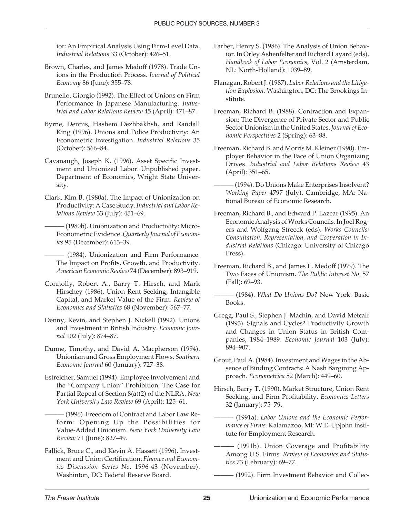ior: An Empirical Analysis Using Firm-Level Data. *Industrial Relations* 33 (October): 426–51.

- Brown, Charles, and James Medoff (1978). Trade Unions in the Production Process. *Journal of Political Economy* 86 (June): 355–78.
- Brunello, Giorgio (1992). The Effect of Unions on Firm Performance in Japanese Manufacturing. *Industrial and Labor Relations Review* 45 (April): 471–87.
- Byrne, Dennis, Hashem Dezhbakhsh, and Randall King (1996). Unions and Police Productivity: An Econometric Investigation. *Industrial Relations* 35 (October): 566–84.
- Cavanaugh, Joseph K. (1996). Asset Specific Investment and Unionized Labor. Unpublished paper. Department of Economics, Wright State University.
- Clark, Kim B. (1980a). The Impact of Unionization on Productivity: A Case Study.*Industrial and Labor Relations Review* 33 (July): 451–69.
	- (1980b). Unionization and Productivity: Micro-Econometric Evidence.*Quarterly Journal of Economics* 95 (December): 613–39.
	- ——— (1984). Unionization and Firm Performance: The Impact on Profits, Growth, and Productivity. *American Economic Review* 74 (December): 893–919.
- Connolly, Robert A., Barry T. Hirsch, and Mark Hirschey (1986). Union Rent Seeking, Intangible Capital, and Market Value of the Firm. *Review of Economics and Statistics* 68 (November): 567–77.
- Denny, Kevin, and Stephen J. Nickell (1992). Unions and Investment in British Industry. *Economic Journal* 102 (July): 874–87.
- Dunne, Timothy, and David A. Macpherson (1994). Unionism and Gross Employment Flows. *Southern Economic Journal* 60 (January): 727–38.
- Estreicher, Samuel (1994). Employee Involvement and the "Company Union" Prohibition: The Case for Partial Repeal of Section 8(a)(2) of the NLRA. *New York University Law Review* 69 (April): 125–61.
	- ——— (1996). Freedom of Contract and Labor Law Reform: Opening Up the Possibilities for Value-Added Unionism. *New York University Law Review* 71 (June): 827–49.
- Fallick, Bruce C., and Kevin A. Hassett (1996). Investment and Union Certification. *Finance and Economics Discussion Series No.* 1996-43 (November). Washinton, DC: Federal Reserve Board.
- Farber, Henry S. (1986). The Analysis of Union Behavior. In Orley Ashenfelter and Richard Layard (eds), *Handbook of Labor Economics*, Vol. 2 (Amsterdam, NL: North-Holland): 1039–89.
- Flanagan, Robert J. (1987). *Labor Relations and the Litigation Explosion*. Washington, DC: The Brookings Institute.
- Freeman, Richard B. (1988). Contraction and Expansion: The Divergence of Private Sector and Public Sector Unionism in the United States.*Journal of Economic Perspectives* 2 (Spring): 63–88.
- Freeman, Richard B. and Morris M. Kleiner (1990). Employer Behavior in the Face of Union Organizing Drives. *Industrial and Labor Relations Review* 43 (April): 351–65.
- (1994). Do Unions Make Enterprises Insolvent? *Working Paper* 4797 (July). Cambridge, MA: National Bureau of Economic Research.
- Freeman, Richard B., and Edward P. Lazear (1995). An Economic Analysis of Works Councils. In Joel Rogers and Wolfgang Streeck (eds), *Works Councils: Consultation, Representation, and Cooperation in Industrial Relations* (Chicago: University of Chicago Press)**.**
- Freeman, Richard B., and James L. Medoff (1979). The Two Faces of Unionism. *The Public Interest No*. 57 (Fall): 69–93.
- ——— (1984). *What Do Unions Do?* New York: Basic Books.
- Gregg, Paul S., Stephen J. Machin, and David Metcalf (1993). Signals and Cycles? Productivity Growth and Changes in Union Status in British Companies, 1984–1989. *Economic Journal* 103 (July): 894–907.
- Grout, Paul A. (1984). Investment and Wages in the Absence of Binding Contracts: A Nash Bargining Approach. *Econometrica* 52 (March): 449–60.
- Hirsch, Barry T. (1990). Market Structure, Union Rent Seeking, and Firm Profitability. *Economics Letters* 32 (January): 75–79.
	- $-$  (1991a). Labor Unions and the Economic Perfor*mance of Firms*. Kalamazoo, MI: W.E. Upjohn Institute for Employment Research.
- $-$  (1991b). Union Coverage and Profitability Among U.S. Firms. *Review of Economics and Statistics* 73 (February): 69–77.
	- $-$  (1992). Firm Investment Behavior and Collec-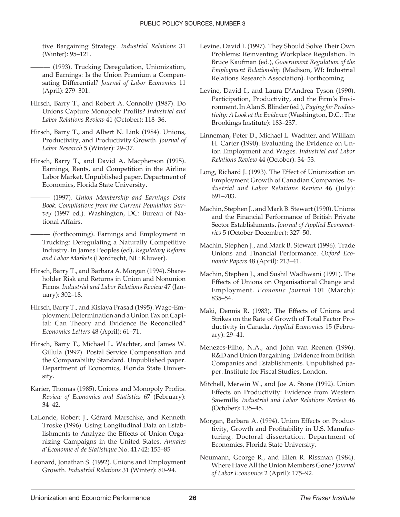tive Bargaining Strategy. *Industrial Relations* 31 (Winter): 95–121.

- ——— (1993). Trucking Deregulation, Unionization, and Earnings: Is the Union Premium a Compensating Differential? *Journal of Labor Economics* 11 (April): 279–301.
- Hirsch, Barry T., and Robert A. Connolly (1987). Do Unions Capture Monopoly Profits? *Industrial and Labor Relations Review* 41 (October): 118–36.
- Hirsch, Barry T., and Albert N. Link (1984). Unions, Productivity, and Productivity Growth. *Journal of Labor Research* 5 (Winter): 29–37.
- Hirsch, Barry T., and David A. Macpherson (1995). Earnings, Rents, and Competition in the Airline Labor Market. Unpublished paper. Department of Economics, Florida State University.
- ——— (1997). *Union Membership and Earnings Data Book: Compilations from the Current Population Survey* (1997 ed.). Washington, DC: Bureau of National Affairs.
	- $-$  (forthcoming). Earnings and Employment in Trucking: Deregulating a Naturally Competitive Industry. In James Peoples (ed), *Regulatory Reform and Labor Markets* (Dordrecht, NL: Kluwer).
- Hirsch, Barry T., and Barbara A. Morgan (1994). Shareholder Risk and Returns in Union and Nonunion Firms. *Industrial and Labor Relations Review* 47 (January): 302–18.
- Hirsch, Barry T., and Kislaya Prasad (1995). Wage-Employment Determination and a Union Tax on Capital: Can Theory and Evidence Be Reconciled? *Economics Letters* 48 (April): 61–71.
- Hirsch, Barry T., Michael L. Wachter, and James W. Gillula (1997). Postal Service Compensation and the Comparability Standard. Unpublished paper. Department of Economics, Florida State University.
- Karier, Thomas (1985). Unions and Monopoly Profits. *Review of Economics and Statistics* 67 (February): 34–42.
- LaLonde, Robert J., Gérard Marschke, and Kenneth Troske (1996). Using Longitudinal Data on Establishments to Analyze the Effects of Union Organizing Campaigns in the United States. *Annales d'Économie et de Statistique* No. 41/42: 155–85
- Leonard, Jonathan S. (1992). Unions and Employment Growth. *Industrial Relations* 31 (Winter): 80–94.
- Levine, David I. (1997). They Should Solve Their Own Problems: Reinventing Workplace Regulation. In Bruce Kaufman (ed.), *Government Regulation of the Employment Relationship* (Madison, WI: Industrial Relations Research Association). Forthcoming.
- Levine, David I., and Laura D'Andrea Tyson (1990). Participation, Productivity, and the Firm's Environment. In Alan S. Blinder (ed.), *Paying for Productivity: A Look at the Evidence*(Washington, D.C.: The Brookings Institute): 183–237.
- Linneman, Peter D., Michael L. Wachter, and William H. Carter (1990). Evaluating the Evidence on Union Employment and Wages. *Industrial and Labor Relations Review* 44 (October): 34–53.
- Long, Richard J. (1993). The Effect of Unionization on Employment Growth of Canadian Companies. *Industrial and Labor Relations Review* 46 (July): 691–703.
- Machin, Stephen J., and Mark B. Stewart (1990). Unions and the Financial Performance of British Private Sector Establishments. *Journal of Applied Econometrics* 5 (October-December): 327–50.
- Machin, Stephen J., and Mark B. Stewart (1996). Trade Unions and Financial Performance. *Oxford Economic Papers* 48 (April): 213–41.
- Machin, Stephen J., and Sushil Wadhwani (1991). The Effects of Unions on Organisational Change and Employment. *Economic Journal* 101 (March): 835–54.
- Maki, Dennis R. (1983). The Effects of Unions and Strikes on the Rate of Growth of Total Factor Productivity in Canada. *Applied Economics* 15 (February): 29–41.
- Menezes-Filho, N.A., and John van Reenen (1996). R&D and Union Bargaining: Evidence from British Companies and Establishments. Unpublished paper. Institute for Fiscal Studies, London.
- Mitchell, Merwin W., and Joe A. Stone (1992). Union Effects on Productivity: Evidence from Western Sawmills. *Industrial and Labor Relations Review* 46 (October): 135–45.
- Morgan, Barbara A. (1994). Union Effects on Productivity, Growth and Profitability in U.S. Manufacturing. Doctoral dissertation. Department of Economics, Florida State University**.**
- Neumann, George R., and Ellen R. Rissman (1984). Where Have All the Union Members Gone? *Journal of Labor Economics* 2 (April): 175–92.